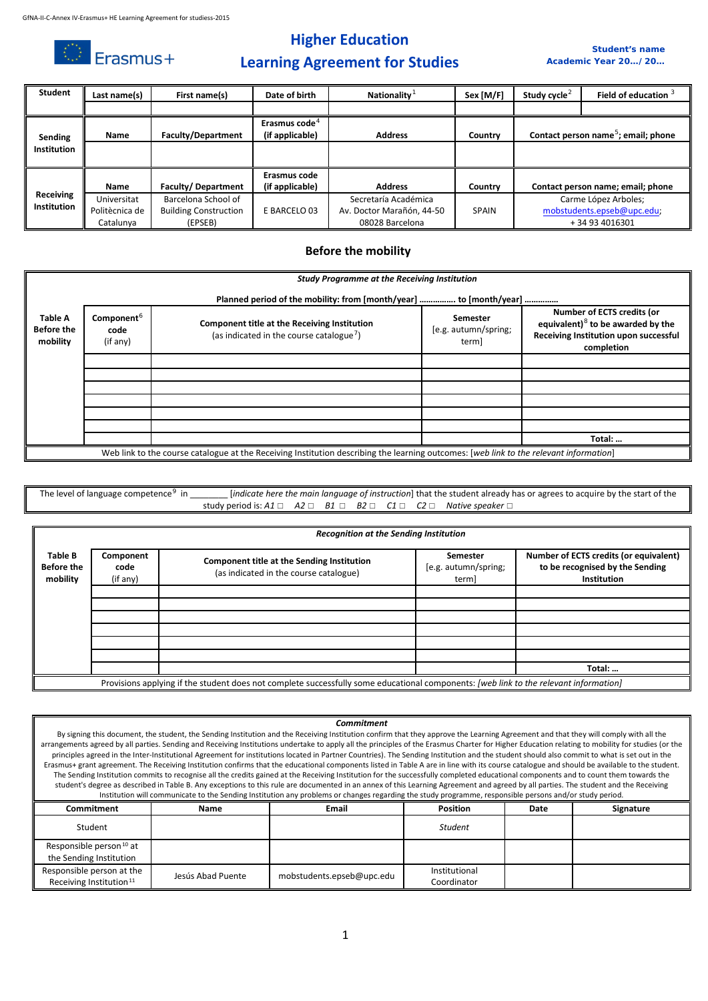$\bigcirc$  Erasmus+

## **Higher Education**

#### *Student's name Academic Year 20…/20…*

# **Learning Agreement for Studies**

| <b>Student</b> | Last name(s)   | First name(s)                | Date of birth             | Nationality <sup>1</sup>  | Sex [M/F]    | Study cycle <sup>2</sup> | Field of education $3$                          |
|----------------|----------------|------------------------------|---------------------------|---------------------------|--------------|--------------------------|-------------------------------------------------|
|                |                |                              |                           |                           |              |                          |                                                 |
|                |                |                              | Erasmus code <sup>4</sup> |                           |              |                          |                                                 |
| Sending        | <b>Name</b>    | <b>Faculty/Department</b>    | (if applicable)           | <b>Address</b>            | Country      |                          | Contact person name <sup>5</sup> ; email; phone |
| Institution    |                |                              |                           |                           |              |                          |                                                 |
|                |                |                              |                           |                           |              |                          |                                                 |
|                |                |                              | Erasmus code              |                           |              |                          |                                                 |
|                | <b>Name</b>    | Faculty/Department           | (if applicable)           | <b>Address</b>            | Country      |                          | Contact person name; email; phone               |
| Receiving      | Universitat    | Barcelona School of          |                           | Secretaría Académica      |              |                          | Carme López Arboles;                            |
| Institution    | Politècnica de | <b>Building Construction</b> | E BARCELO 03              | Av. Doctor Marañón, 44-50 | <b>SPAIN</b> |                          | mobstudents.epseb@upc.edu;                      |
|                | Catalunya      | (EPSEB)                      |                           | 08028 Barcelona           |              |                          | +34 93 4016301                                  |

### **Before the mobility**

|                                                 | <b>Study Programme at the Receiving Institution</b>                |                                                                                                                                        |                                           |                                                                                                                           |  |  |  |
|-------------------------------------------------|--------------------------------------------------------------------|----------------------------------------------------------------------------------------------------------------------------------------|-------------------------------------------|---------------------------------------------------------------------------------------------------------------------------|--|--|--|
|                                                 | Planned period of the mobility: from [month/year]  to [month/year] |                                                                                                                                        |                                           |                                                                                                                           |  |  |  |
| <b>Table A</b><br><b>Before the</b><br>mobility | Component <sup>6</sup><br>code<br>(if any)                         | Component title at the Receiving Institution<br>(as indicated in the course catalogue <sup>7</sup> )                                   | Semester<br>[e.g. autumn/spring;<br>term] | Number of ECTS credits (or<br>equivalent) $8$ to be awarded by the<br>Receiving Institution upon successful<br>completion |  |  |  |
|                                                 |                                                                    |                                                                                                                                        |                                           |                                                                                                                           |  |  |  |
|                                                 |                                                                    |                                                                                                                                        |                                           |                                                                                                                           |  |  |  |
|                                                 |                                                                    |                                                                                                                                        |                                           |                                                                                                                           |  |  |  |
|                                                 |                                                                    |                                                                                                                                        |                                           |                                                                                                                           |  |  |  |
|                                                 |                                                                    |                                                                                                                                        |                                           |                                                                                                                           |  |  |  |
|                                                 |                                                                    |                                                                                                                                        |                                           |                                                                                                                           |  |  |  |
|                                                 |                                                                    |                                                                                                                                        |                                           | Total:                                                                                                                    |  |  |  |
|                                                 |                                                                    | Web link to the course catalogue at the Receiving Institution describing the learning outcomes: [web link to the relevant information] |                                           |                                                                                                                           |  |  |  |

The level of language competence<sup>[9](#page-2-8)</sup> in *[indicate here the main language of instruction*] that the student already has or agrees to acquire by the start of the study period is:  $A1$  □  $A2$  □  $B1$  □  $B2$  □  $C1$  □  $C2$  □ *Native speaker* □

|                                          | <b>Recognition at the Sending Institution</b> |                                                                                                                                       |                                          |                                                                                          |  |  |  |  |
|------------------------------------------|-----------------------------------------------|---------------------------------------------------------------------------------------------------------------------------------------|------------------------------------------|------------------------------------------------------------------------------------------|--|--|--|--|
| Table B<br><b>Before the</b><br>mobility | Component<br>code<br>(if any)                 | Component title at the Sending Institution<br>(as indicated in the course catalogue)                                                  | Semester<br>[e.g. autumn/spring;<br>term | Number of ECTS credits (or equivalent)<br>to be recognised by the Sending<br>Institution |  |  |  |  |
|                                          |                                               |                                                                                                                                       |                                          |                                                                                          |  |  |  |  |
|                                          |                                               |                                                                                                                                       |                                          |                                                                                          |  |  |  |  |
|                                          |                                               |                                                                                                                                       |                                          |                                                                                          |  |  |  |  |
|                                          |                                               |                                                                                                                                       |                                          |                                                                                          |  |  |  |  |
|                                          |                                               |                                                                                                                                       |                                          |                                                                                          |  |  |  |  |
|                                          |                                               |                                                                                                                                       |                                          |                                                                                          |  |  |  |  |
|                                          |                                               |                                                                                                                                       |                                          | Total:                                                                                   |  |  |  |  |
|                                          |                                               | Provisions applying if the student does not complete successfully some educational components: [web link to the relevant information] |                                          |                                                                                          |  |  |  |  |

|                                                                                                                                                         | <b>Commitment</b>                                                                                                                                                                    |                                                                                                                                                                                                   |                 |      |           |  |  |  |
|---------------------------------------------------------------------------------------------------------------------------------------------------------|--------------------------------------------------------------------------------------------------------------------------------------------------------------------------------------|---------------------------------------------------------------------------------------------------------------------------------------------------------------------------------------------------|-----------------|------|-----------|--|--|--|
|                                                                                                                                                         | By signing this document, the student, the Sending Institution and the Receiving Institution confirm that they approve the Learning Agreement and that they will comply with all the |                                                                                                                                                                                                   |                 |      |           |  |  |  |
|                                                                                                                                                         |                                                                                                                                                                                      | arrangements agreed by all parties. Sending and Receiving Institutions undertake to apply all the principles of the Erasmus Charter for Higher Education relating to mobility for studies (or the |                 |      |           |  |  |  |
|                                                                                                                                                         |                                                                                                                                                                                      | principles agreed in the Inter-Institutional Agreement for institutions located in Partner Countries). The Sending Institution and the student should also commit to what is set out in the       |                 |      |           |  |  |  |
|                                                                                                                                                         |                                                                                                                                                                                      | Erasmus+ grant agreement. The Receiving Institution confirms that the educational components listed in Table A are in line with its course catalogue and should be available to the student.      |                 |      |           |  |  |  |
|                                                                                                                                                         |                                                                                                                                                                                      | The Sending Institution commits to recognise all the credits gained at the Receiving Institution for the successfully completed educational components and to count them towards the              |                 |      |           |  |  |  |
|                                                                                                                                                         |                                                                                                                                                                                      | student's degree as described in Table B. Any exceptions to this rule are documented in an annex of this Learning Agreement and agreed by all parties. The student and the Receiving              |                 |      |           |  |  |  |
| Institution will communicate to the Sending Institution any problems or changes regarding the study programme, responsible persons and/or study period. |                                                                                                                                                                                      |                                                                                                                                                                                                   |                 |      |           |  |  |  |
|                                                                                                                                                         |                                                                                                                                                                                      |                                                                                                                                                                                                   |                 |      |           |  |  |  |
| Commitment                                                                                                                                              | Name                                                                                                                                                                                 | Email                                                                                                                                                                                             | <b>Position</b> | Date | Signature |  |  |  |
| Student                                                                                                                                                 |                                                                                                                                                                                      |                                                                                                                                                                                                   | Student         |      |           |  |  |  |
| Responsible person <sup>10</sup> at                                                                                                                     |                                                                                                                                                                                      |                                                                                                                                                                                                   |                 |      |           |  |  |  |
| the Sending Institution                                                                                                                                 |                                                                                                                                                                                      |                                                                                                                                                                                                   |                 |      |           |  |  |  |
| Responsible person at the                                                                                                                               | Jesús Abad Puente                                                                                                                                                                    | mobstudents.epseb@upc.edu                                                                                                                                                                         | Institutional   |      |           |  |  |  |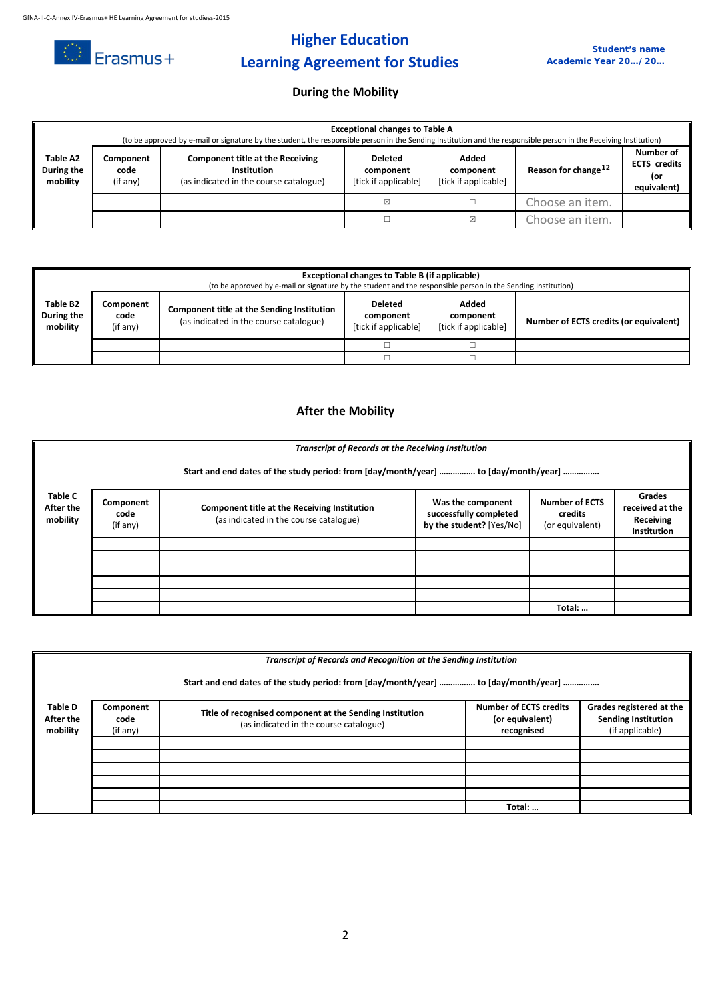

# **Higher Education Learning Agreement for Studies**

### **During the Mobility**

|                                    | <b>Exceptional changes to Table A</b><br>(to be approved by e-mail or signature by the student, the responsible person in the Sending Institution and the responsible person in the Receiving Institution) |                                                                                                         |                                                     |                                            |                                                                                           |  |  |
|------------------------------------|------------------------------------------------------------------------------------------------------------------------------------------------------------------------------------------------------------|---------------------------------------------------------------------------------------------------------|-----------------------------------------------------|--------------------------------------------|-------------------------------------------------------------------------------------------|--|--|
| Table A2<br>During the<br>mobility | Component<br>code<br>(if any)                                                                                                                                                                              | <b>Component title at the Receiving</b><br><b>Institution</b><br>(as indicated in the course catalogue) | <b>Deleted</b><br>component<br>[tick if applicable] | Added<br>component<br>[tick if applicable] | Number of<br><b>ECTS</b> credits<br>Reason for change <sup>12</sup><br>(or<br>equivalent) |  |  |
| ⊠                                  |                                                                                                                                                                                                            | Choose an item.                                                                                         |                                                     |                                            |                                                                                           |  |  |
|                                    |                                                                                                                                                                                                            |                                                                                                         |                                                     | ⊠                                          | Choose an item.                                                                           |  |  |

|                                                                                                                                                                                                                                                                  | <b>Exceptional changes to Table B (if applicable)</b><br>(to be approved by e-mail or signature by the student and the responsible person in the Sending Institution) |  |  |                                        |  |  |
|------------------------------------------------------------------------------------------------------------------------------------------------------------------------------------------------------------------------------------------------------------------|-----------------------------------------------------------------------------------------------------------------------------------------------------------------------|--|--|----------------------------------------|--|--|
| Table B2<br>Added<br><b>Deleted</b><br>Component<br>Component title at the Sending Institution<br>During the<br>code<br>component<br>component<br>(as indicated in the course catalogue)<br>[tick if applicable]<br>mobility<br>[tick if applicable]<br>(if any) |                                                                                                                                                                       |  |  | Number of ECTS credits (or equivalent) |  |  |
|                                                                                                                                                                                                                                                                  |                                                                                                                                                                       |  |  |                                        |  |  |
|                                                                                                                                                                                                                                                                  |                                                                                                                                                                       |  |  |                                        |  |  |

### **After the Mobility**

|                                  | <b>Transcript of Records at the Receiving Institution</b>                           |                                                                                        |                                                                         |                                                     |                                                                     |  |  |
|----------------------------------|-------------------------------------------------------------------------------------|----------------------------------------------------------------------------------------|-------------------------------------------------------------------------|-----------------------------------------------------|---------------------------------------------------------------------|--|--|
|                                  | Start and end dates of the study period: from [day/month/year]  to [day/month/year] |                                                                                        |                                                                         |                                                     |                                                                     |  |  |
| Table C<br>After the<br>mobility | Component<br>code<br>(if any)                                                       | Component title at the Receiving Institution<br>(as indicated in the course catalogue) | Was the component<br>successfully completed<br>by the student? [Yes/No] | <b>Number of ECTS</b><br>credits<br>(or equivalent) | <b>Grades</b><br>received at the<br>Receiving<br><b>Institution</b> |  |  |
|                                  |                                                                                     |                                                                                        |                                                                         |                                                     |                                                                     |  |  |
|                                  |                                                                                     |                                                                                        |                                                                         |                                                     |                                                                     |  |  |
|                                  |                                                                                     |                                                                                        |                                                                         |                                                     |                                                                     |  |  |
|                                  |                                                                                     |                                                                                        |                                                                         |                                                     |                                                                     |  |  |
|                                  |                                                                                     |                                                                                        |                                                                         | Total:                                              |                                                                     |  |  |

|                                         |                               |                                                                                                    | Transcript of Records and Recognition at the Sending Institution<br>Start and end dates of the study period: from [day/month/year]  to [day/month/year] |                                                                           |  |
|-----------------------------------------|-------------------------------|----------------------------------------------------------------------------------------------------|---------------------------------------------------------------------------------------------------------------------------------------------------------|---------------------------------------------------------------------------|--|
| <b>Table D</b><br>After the<br>mobility | Component<br>code<br>(if any) | Title of recognised component at the Sending Institution<br>(as indicated in the course catalogue) | <b>Number of ECTS credits</b><br>(or equivalent)<br>recognised                                                                                          | Grades registered at the<br><b>Sending Institution</b><br>(if applicable) |  |
|                                         |                               |                                                                                                    |                                                                                                                                                         |                                                                           |  |
|                                         |                               |                                                                                                    | Total:                                                                                                                                                  |                                                                           |  |